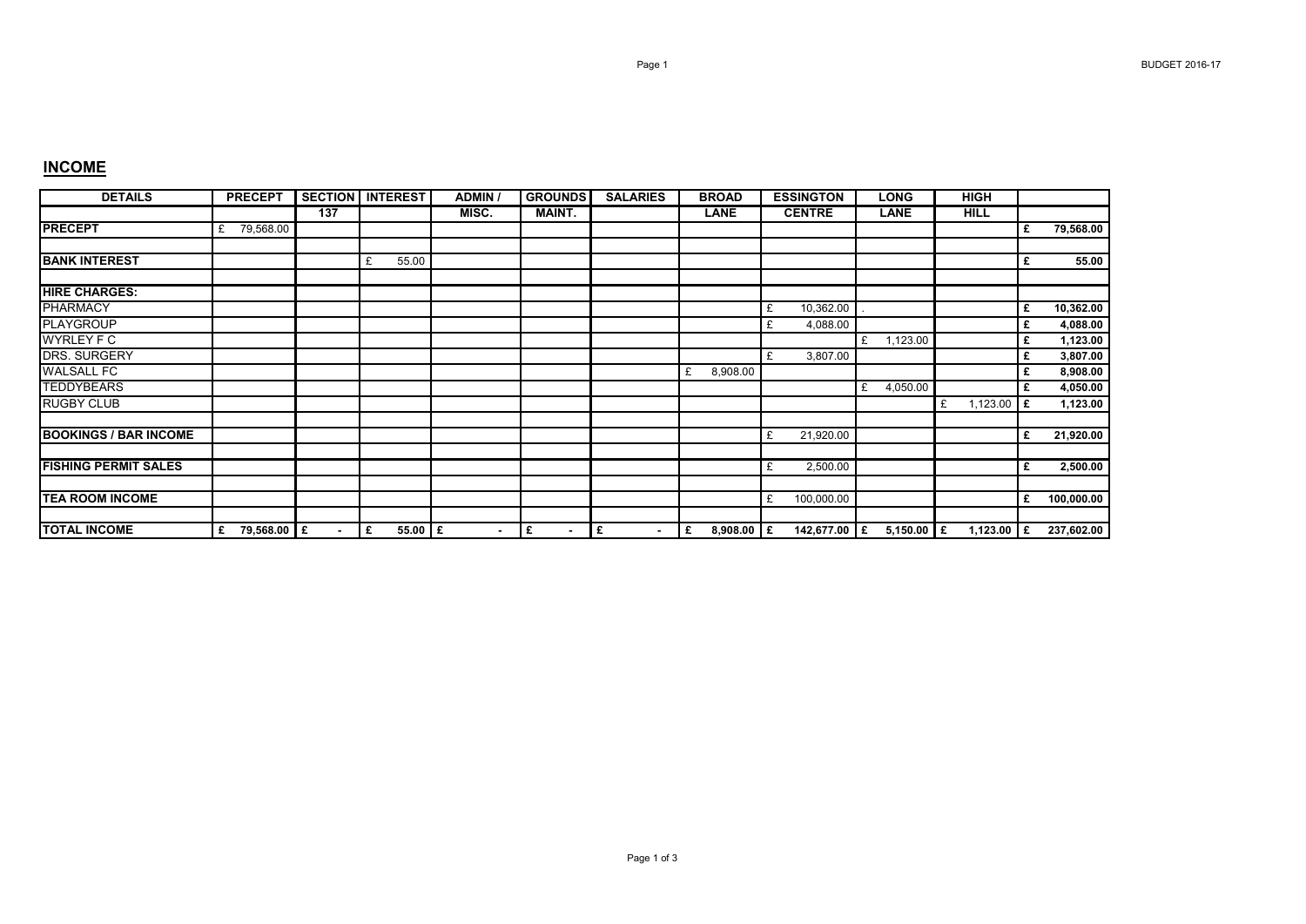## **INCOME**

| <b>DETAILS</b>               | <b>PRECEPT</b>   |     | <b>SECTION INTEREST</b> | <b>ADMIN</b>   | <b>GROUNDS</b>      | <b>SALARIES</b> | <b>BROAD</b>      | <b>ESSINGTON</b> | <b>LONG</b>   | <b>HIGH</b>   |    |            |
|------------------------------|------------------|-----|-------------------------|----------------|---------------------|-----------------|-------------------|------------------|---------------|---------------|----|------------|
|                              |                  | 137 |                         | MISC.          | <b>MAINT.</b>       |                 | <b>LANE</b>       | <b>CENTRE</b>    | <b>LANE</b>   | <b>HILL</b>   |    |            |
| <b>PRECEPT</b>               | 79,568.00<br>£   |     |                         |                |                     |                 |                   |                  |               |               | £  | 79,568.00  |
| <b>BANK INTEREST</b>         |                  |     | 55.00<br>£              |                |                     |                 |                   |                  |               |               | £  | 55.00      |
| <b>HIRE CHARGES:</b>         |                  |     |                         |                |                     |                 |                   |                  |               |               |    |            |
| <b>PHARMACY</b>              |                  |     |                         |                |                     |                 |                   | 10,362.00<br>£   |               |               | £  | 10,362.00  |
| <b>PLAYGROUP</b>             |                  |     |                         |                |                     |                 |                   | 4,088.00<br>£    |               |               | £  | 4,088.00   |
| <b>WYRLEY F C</b>            |                  |     |                         |                |                     |                 |                   |                  | £<br>1,123.00 |               | £  | 1,123.00   |
| DRS. SURGERY                 |                  |     |                         |                |                     |                 |                   | 3,807.00         |               |               | £  | 3,807.00   |
| <b>WALSALL FC</b>            |                  |     |                         |                |                     |                 | 8,908.00<br>£     |                  |               |               | £  | 8,908.00   |
| <b>TEDDYBEARS</b>            |                  |     |                         |                |                     |                 |                   |                  | 4,050.00<br>£ |               | £  | 4,050.00   |
| <b>RUGBY CLUB</b>            |                  |     |                         |                |                     |                 |                   |                  |               | 1,123.00<br>£ | Ι£ | 1,123.00   |
| <b>BOOKINGS / BAR INCOME</b> |                  |     |                         |                |                     |                 |                   | 21,920.00        |               |               | £  | 21,920.00  |
|                              |                  |     |                         |                |                     |                 |                   |                  |               |               |    |            |
| <b>FISHING PERMIT SALES</b>  |                  |     |                         |                |                     |                 |                   | 2,500.00         |               |               | £  | 2,500.00   |
|                              |                  |     |                         |                |                     |                 |                   |                  |               |               |    |            |
| <b>TEA ROOM INCOME</b>       |                  |     |                         |                |                     |                 |                   | 100,000.00       |               |               | £  | 100,000.00 |
|                              |                  |     |                         |                |                     |                 |                   |                  |               |               |    |            |
| <b>TOTAL INCOME</b>          | 79,568.00 £<br>£ | ۰.  | $55.00$ $E$<br>£        | $\blacksquare$ | £<br>$\blacksquare$ | £<br>$\sim$     | 8,908.00 $E$<br>£ | 142,677.00 E     | 5,150.00 $E$  | 1,123.00 $E$  |    | 237,602.00 |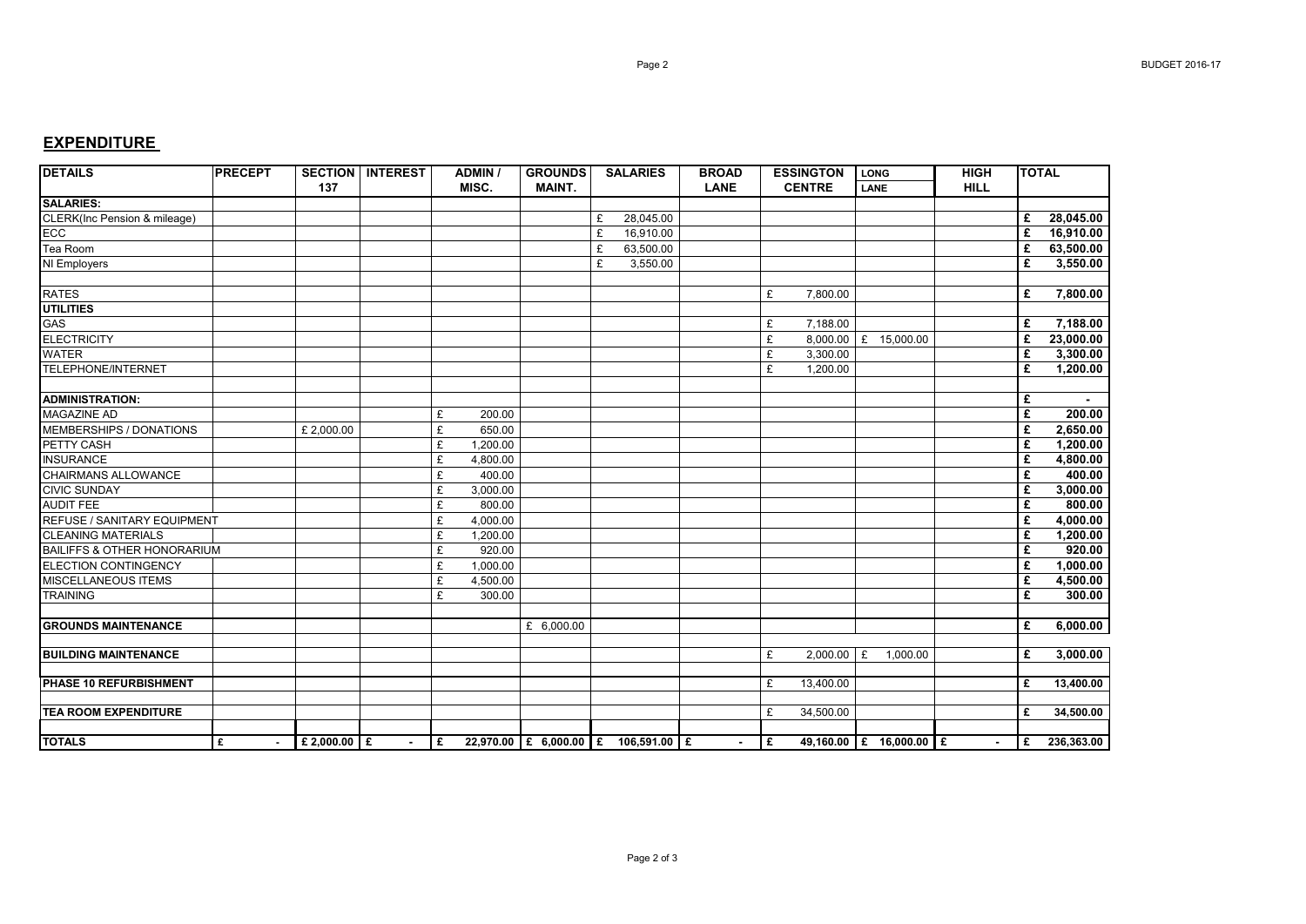## **EXPENDITURE**

| <b>DETAILS</b>                         | <b>PRECEPT</b> | 137              | <b>SECTION   INTEREST</b> |   | <b>ADMIN /</b><br>MISC. | <b>GROUNDS</b><br><b>MAINT.</b>       |   | <b>SALARIES</b> | <b>BROAD</b><br><b>LANE</b> |    | <b>ESSINGTON</b><br><b>CENTRE</b> | LONG<br><b>LANE</b>     | <b>HIGH</b><br><b>HILL</b> | <b>TOTAL</b> |              |
|----------------------------------------|----------------|------------------|---------------------------|---|-------------------------|---------------------------------------|---|-----------------|-----------------------------|----|-----------------------------------|-------------------------|----------------------------|--------------|--------------|
| <b>SALARIES:</b>                       |                |                  |                           |   |                         |                                       |   |                 |                             |    |                                   |                         |                            |              |              |
| CLERK(Inc Pension & mileage)           |                |                  |                           |   |                         |                                       | £ | 28,045.00       |                             |    |                                   |                         |                            | £            | 28,045.00    |
| ECC                                    |                |                  |                           |   |                         |                                       | £ | 16,910.00       |                             |    |                                   |                         |                            | £            | 16,910.00    |
| Tea Room                               |                |                  |                           |   |                         |                                       | £ | 63,500.00       |                             |    |                                   |                         |                            | £            | 63.500.00    |
| NI Employers                           |                |                  |                           |   |                         |                                       | £ | 3,550.00        |                             |    |                                   |                         |                            | £            | 3,550.00     |
|                                        |                |                  |                           |   |                         |                                       |   |                 |                             |    |                                   |                         |                            |              |              |
| <b>RATES</b>                           |                |                  |                           |   |                         |                                       |   |                 |                             | £  | 7,800.00                          |                         |                            | £            | 7.800.00     |
| <b>UTILITIES</b>                       |                |                  |                           |   |                         |                                       |   |                 |                             |    |                                   |                         |                            |              |              |
| GAS                                    |                |                  |                           |   |                         |                                       |   |                 |                             | £  | 7,188.00                          |                         |                            | £            | 7,188.00     |
| <b>ELECTRICITY</b>                     |                |                  |                           |   |                         |                                       |   |                 |                             | £  |                                   | 8,000.00 £ 15,000.00    |                            | £            | 23,000.00    |
| <b>WATER</b>                           |                |                  |                           |   |                         |                                       |   |                 |                             | £  | 3,300.00                          |                         |                            | £            | 3,300.00     |
| <b>TELEPHONE/INTERNET</b>              |                |                  |                           |   |                         |                                       |   |                 |                             | £  | 1,200.00                          |                         |                            | £            | 1,200.00     |
|                                        |                |                  |                           |   |                         |                                       |   |                 |                             |    |                                   |                         |                            |              |              |
| <b>ADMINISTRATION:</b>                 |                |                  |                           |   |                         |                                       |   |                 |                             |    |                                   |                         |                            | £            |              |
| <b>MAGAZINE AD</b>                     |                |                  |                           | £ | 200.00                  |                                       |   |                 |                             |    |                                   |                         |                            | £            | 200.00       |
| <b>MEMBERSHIPS / DONATIONS</b>         |                | £ 2,000.00       |                           | £ | 650.00                  |                                       |   |                 |                             |    |                                   |                         |                            | £            | 2,650.00     |
| PETTY CASH                             |                |                  |                           | £ | $\overline{1,200.00}$   |                                       |   |                 |                             |    |                                   |                         |                            | £            | 1.200.00     |
| <b>INSURANCE</b>                       |                |                  |                           | £ | 4,800.00                |                                       |   |                 |                             |    |                                   |                         |                            | £            | 4,800.00     |
| <b>CHAIRMANS ALLOWANCE</b>             |                |                  |                           | £ | 400.00                  |                                       |   |                 |                             |    |                                   |                         |                            | £            | 400.00       |
| <b>CIVIC SUNDAY</b>                    |                |                  |                           | £ | 3,000.00                |                                       |   |                 |                             |    |                                   |                         |                            | £            | 3,000.00     |
| <b>AUDIT FEE</b>                       |                |                  |                           | £ | 800.00                  |                                       |   |                 |                             |    |                                   |                         |                            | £            | 800.00       |
| <b>REFUSE / SANITARY EQUIPMENT</b>     |                |                  |                           | £ | 4,000.00                |                                       |   |                 |                             |    |                                   |                         |                            | £            | 4,000.00     |
| <b>CLEANING MATERIALS</b>              |                |                  |                           | £ | 1,200.00                |                                       |   |                 |                             |    |                                   |                         |                            | £            | 1,200.00     |
| <b>BAILIFFS &amp; OTHER HONORARIUM</b> |                |                  |                           | £ | 920.00                  |                                       |   |                 |                             |    |                                   |                         |                            | £            | 920.00       |
| ELECTION CONTINGENCY                   |                |                  |                           | £ | 1,000.00                |                                       |   |                 |                             |    |                                   |                         |                            | £            | 1,000.00     |
| <b>MISCELLANEOUS ITEMS</b>             |                |                  |                           | £ | 4,500.00                |                                       |   |                 |                             |    |                                   |                         |                            | £            | 4,500.00     |
| <b>TRAINING</b>                        |                |                  |                           | £ | 300.00                  |                                       |   |                 |                             |    |                                   |                         |                            | £            | 300.00       |
|                                        |                |                  |                           |   |                         |                                       |   |                 |                             |    |                                   |                         |                            |              |              |
| <b>GROUNDS MAINTENANCE</b>             |                |                  |                           |   |                         | £ $6,000.00$                          |   |                 |                             |    |                                   |                         |                            | £            | 6,000.00     |
|                                        |                |                  |                           |   |                         |                                       |   |                 |                             |    |                                   |                         |                            |              |              |
| <b>BUILDING MAINTENANCE</b>            |                |                  |                           |   |                         |                                       |   |                 |                             | £  | $2,000.00$ £                      | 1.000.00                |                            | £            | 3,000.00     |
|                                        |                |                  |                           |   |                         |                                       |   |                 |                             |    |                                   |                         |                            |              |              |
| <b>PHASE 10 REFURBISHMENT</b>          |                |                  |                           |   |                         |                                       |   |                 |                             | £  | 13,400.00                         |                         |                            | £            | 13,400.00    |
|                                        |                |                  |                           |   |                         |                                       |   |                 |                             |    |                                   |                         |                            |              |              |
| <b>TEA ROOM EXPENDITURE</b>            |                |                  |                           |   |                         |                                       |   |                 |                             | £  | 34,500.00                         |                         |                            | £            | 34,500.00    |
| <b>TOTALS</b>                          | l £            | $E$ 2,000.00 $E$ | $\sim$                    |   |                         | E 22,970.00 E 6,000.00 E 106,591.00 E |   |                 | $\sim$                      | Ι£ |                                   | 49,160.00 £ 16,000.00 £ | $\sim$                     |              | £ 236,363.00 |